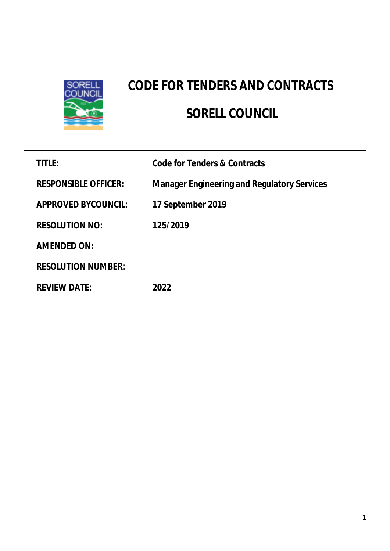

# **CODE FOR TENDERS AND CONTRACTS SORELL COUNCIL**

| <b>TITLE:</b>               | Code for Tenders & Contracts                       |
|-----------------------------|----------------------------------------------------|
| <b>RESPONSIBLE OFFICER:</b> | <b>Manager Engineering and Regulatory Services</b> |
| <b>APPROVED BYCOUNCIL:</b>  | 17 September 2019                                  |
| <b>RESOLUTION NO:</b>       | 125/2019                                           |
| <b>AMENDED ON:</b>          |                                                    |
| <b>RESOLUTION NUMBER:</b>   |                                                    |
| <b>REVIEW DATE:</b>         | 2022                                               |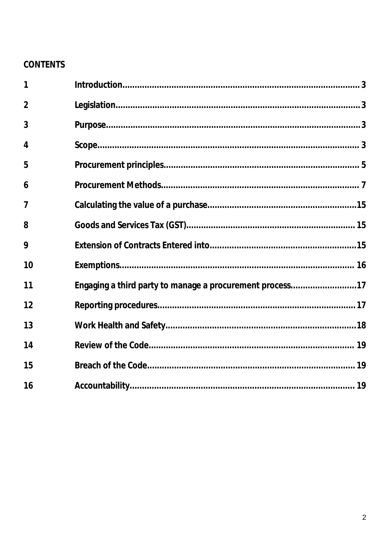# **CONTENTS**

| 1              |                                                          |  |
|----------------|----------------------------------------------------------|--|
| $\overline{2}$ |                                                          |  |
| 3              |                                                          |  |
| 4              |                                                          |  |
| 5              |                                                          |  |
| 6              |                                                          |  |
| 7              |                                                          |  |
| 8              |                                                          |  |
| 9              |                                                          |  |
| 10             |                                                          |  |
| 11             | Engaging a third party to manage a procurement process17 |  |
| 12             |                                                          |  |
| 13             |                                                          |  |
| 14             |                                                          |  |
| 15             |                                                          |  |
| 16             |                                                          |  |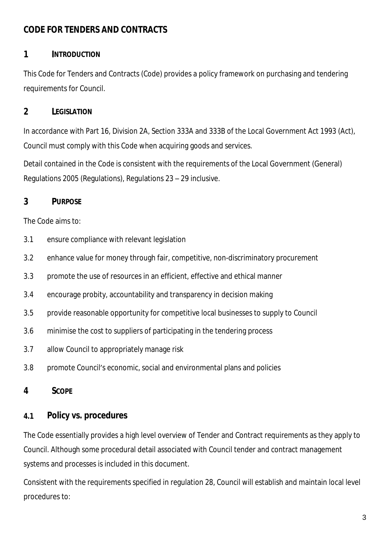#### **CODE FOR TENDERS AND CONTRACTS**

#### **1 INTRODUCTION**

This Code for Tenders and Contracts (Code) provides a policy framework on purchasing and tendering requirements for Council.

#### **2 LEGISLATION**

In accordance with Part 16, Division 2A, Section 333A and 333B of the Local Government Act 1993 (Act), Council must comply with this Code when acquiring goods and services.

Detail contained in the Code is consistent with the requirements of the Local Government (General) Regulations 2005 (Regulations), Regulations 23 – 29 inclusive.

#### **3 PURPOSE**

The Code aims to:

- 3.1 ensure compliance with relevant legislation
- 3.2 enhance value for money through fair, competitive, non-discriminatory procurement
- 3.3 promote the use of resources in an efficient, effective and ethical manner
- 3.4 encourage probity, accountability and transparency in decision making
- 3.5 provide reasonable opportunity for competitive local businesses to supply to Council
- 3.6 minimise the cost to suppliers of participating in the tendering process
- 3.7 allow Council to appropriately manage risk
- 3.8 promote Council's economic, social and environmental plans and policies

#### **4 SCOPE**

## **4.1 Policy vs. procedures**

The Code essentially provides a high level overview of Tender and Contract requirements as they apply to Council. Although some procedural detail associated with Council tender and contract management systems and processes is included in this document.

Consistent with the requirements specified in regulation 28, Council will establish and maintain local level procedures to: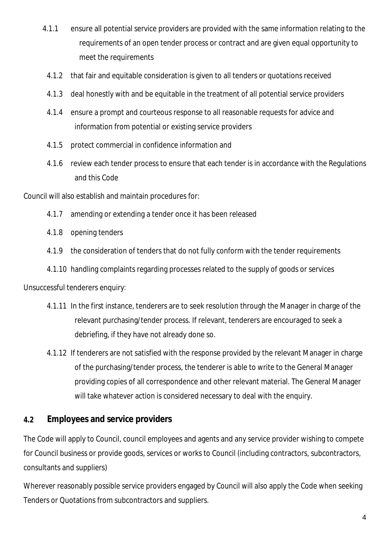- 4.1.1 ensure all potential service providers are provided with the same information relating to the requirements of an open tender process or contract and are given equal opportunity to meet the requirements
- 4.1.2 that fair and equitable consideration is given to all tenders or quotations received
- 4.1.3 deal honestly with and be equitable in the treatment of all potential service providers
- 4.1.4 ensure a prompt and courteous response to all reasonable requests for advice and information from potential or existing service providers
- 4.1.5 protect commercial in confidence information and
- 4.1.6 review each tender process to ensure that each tender is in accordance with the Regulations and this Code

Council will also establish and maintain procedures for:

- 4.1.7 amending or extending a tender once it has been released
- 4.1.8 opening tenders
- 4.1.9 the consideration of tenders that do not fully conform with the tender requirements
- 4.1.10 handling complaints regarding processes related to the supply of goods or services

Unsuccessful tenderers enquiry:

- 4.1.11 In the first instance, tenderers are to seek resolution through the Manager in charge of the relevant purchasing/tender process. If relevant, tenderers are encouraged to seek a debriefing, if they have not already done so.
- 4.1.12 If tenderers are not satisfied with the response provided by the relevant Manager in charge of the purchasing/tender process, the tenderer is able to write to the General Manager providing copies of all correspondence and other relevant material. The General Manager will take whatever action is considered necessary to deal with the enquiry.

#### **4.2 Employees and service providers**

The Code will apply to Council, council employees and agents and any service provider wishing to compete for Council business or provide goods, services or works to Council (including contractors, subcontractors, consultants and suppliers)

Wherever reasonably possible service providers engaged by Council will also apply the Code when seeking Tenders or Quotations from subcontractors and suppliers.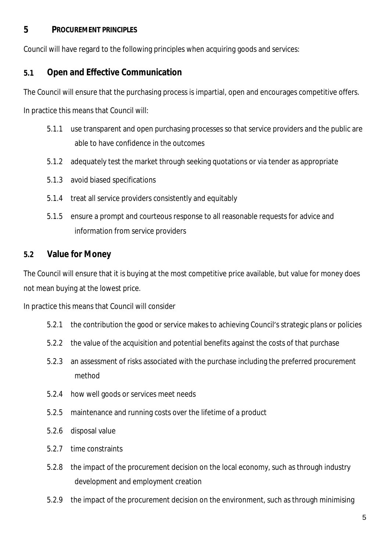#### **5 PROCUREMENT PRINCIPLES**

Council will have regard to the following principles when acquiring goods and services:

## **5.1 Open and Effective Communication**

The Council will ensure that the purchasing process is impartial, open and encourages competitive offers.

In practice this means that Council will:

- 5.1.1 use transparent and open purchasing processes so that service providers and the public are able to have confidence in the outcomes
- 5.1.2 adequately test the market through seeking quotations or via tender as appropriate
- 5.1.3 avoid biased specifications
- 5.1.4 treat all service providers consistently and equitably
- 5.1.5 ensure a prompt and courteous response to all reasonable requests for advice and information from service providers

## **5.2 Value for Money**

The Council will ensure that it is buying at the most competitive price available, but value for money does not mean buying at the lowest price.

In practice this means that Council will consider

- 5.2.1 the contribution the good or service makes to achieving Council's strategic plans or policies
- 5.2.2 the value of the acquisition and potential benefits against the costs of that purchase
- 5.2.3 an assessment of risks associated with the purchase including the preferred procurement method
- 5.2.4 how well goods or services meet needs
- 5.2.5 maintenance and running costs over the lifetime of a product
- 5.2.6 disposal value
- 5.2.7 time constraints
- 5.2.8 the impact of the procurement decision on the local economy, such as through industry development and employment creation
- 5.2.9 the impact of the procurement decision on the environment, such as through minimising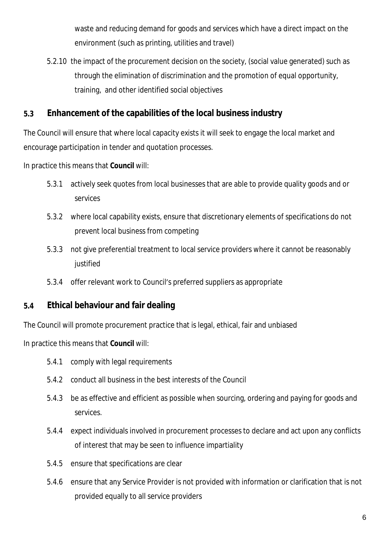waste and reducing demand for goods and services which have a direct impact on the environment (such as printing, utilities and travel)

5.2.10 the impact of the procurement decision on the society, (social value generated) such as through the elimination of discrimination and the promotion of equal opportunity, training, and other identified social objectives

#### **5.3 Enhancement of the capabilities of the local business industry**

The Council will ensure that where local capacity exists it will seek to engage the local market and encourage participation in tender and quotation processes.

In practice this means that **Council** will:

- 5.3.1 actively seek quotes from local businesses that are able to provide quality goods and or services
- 5.3.2 where local capability exists, ensure that discretionary elements of specifications do not prevent local business from competing
- 5.3.3 not give preferential treatment to local service providers where it cannot be reasonably iustified
- 5.3.4 offer relevant work to Council's preferred suppliers as appropriate

#### **5.4 Ethical behaviour and fair dealing**

The Council will promote procurement practice that is legal, ethical, fair and unbiased

In practice this means that **Council** will:

- 5.4.1 comply with legal requirements
- 5.4.2 conduct all business in the best interests of the Council
- 5.4.3 be as effective and efficient as possible when sourcing, ordering and paying for goods and services.
- 5.4.4 expect individuals involved in procurement processes to declare and act upon any conflicts of interest that may be seen to influence impartiality
- 5.4.5 ensure that specifications are clear
- 5.4.6 ensure that any Service Provider is not provided with information or clarification that is not provided equally to all service providers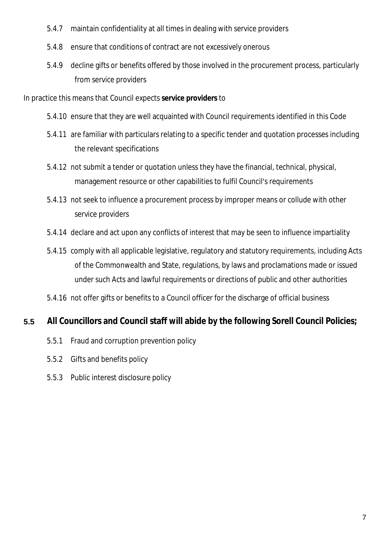- 5.4.7 maintain confidentiality at all times in dealing with service providers
- 5.4.8 ensure that conditions of contract are not excessively onerous
- 5.4.9 decline gifts or benefits offered by those involved in the procurement process, particularly from service providers

In practice this means that Council expects **service providers** to

- 5.4.10 ensure that they are well acquainted with Council requirements identified in this Code
- 5.4.11 are familiar with particulars relating to a specific tender and quotation processes including the relevant specifications
- 5.4.12 not submit a tender or quotation unless they have the financial, technical, physical, management resource or other capabilities to fulfil Council's requirements
- 5.4.13 not seek to influence a procurement process by improper means or collude with other service providers
- 5.4.14 declare and act upon any conflicts of interest that may be seen to influence impartiality
- 5.4.15 comply with all applicable legislative, regulatory and statutory requirements, including Acts of the Commonwealth and State, regulations, by laws and proclamations made or issued under such Acts and lawful requirements or directions of public and other authorities
- 5.4.16 not offer gifts or benefits to a Council officer for the discharge of official business

#### **5.5 All Councillors and Council staff will abide by the following Sorell Council Policies;**

- 5.5.1 Fraud and corruption prevention policy
- 5.5.2 Gifts and benefits policy
- 5.5.3 Public interest disclosure policy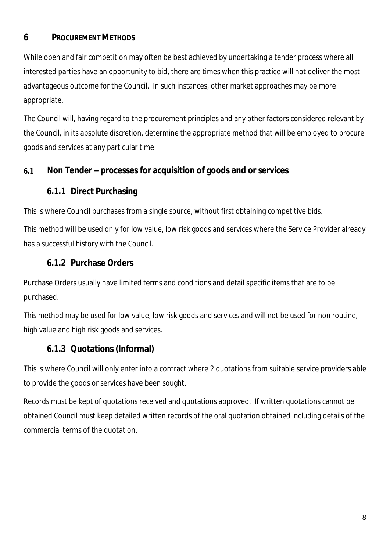#### **6 PROCUREMENT METHODS**

While open and fair competition may often be best achieved by undertaking a tender process where all interested parties have an opportunity to bid, there are times when this practice will not deliver the most advantageous outcome for the Council. In such instances, other market approaches may be more appropriate.

The Council will, having regard to the procurement principles and any other factors considered relevant by the Council, in its absolute discretion, determine the appropriate method that will be employed to procure goods and services at any particular time.

#### **6.1 Non Tender – processes for acquisition of goods and or services**

#### **6.1.1 Direct Purchasing**

This is where Council purchases from a single source, without first obtaining competitive bids.

This method will be used only for low value, low risk goods and services where the Service Provider already has a successful history with the Council.

## **6.1.2 Purchase Orders**

Purchase Orders usually have limited terms and conditions and detail specific items that are to be purchased.

This method may be used for low value, low risk goods and services and will not be used for non routine, high value and high risk goods and services.

# **6.1.3 Quotations (Informal)**

This is where Council will only enter into a contract where 2 quotations from suitable service providers able to provide the goods or services have been sought.

Records must be kept of quotations received and quotations approved. If written quotations cannot be obtained Council must keep detailed written records of the oral quotation obtained including details of the commercial terms of the quotation.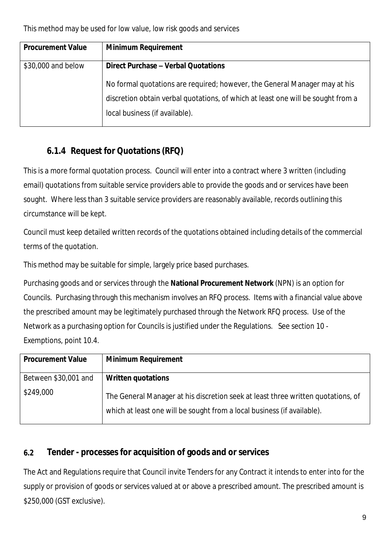| <b>Procurement Value</b> | <b>Minimum Requirement</b>                                                       |
|--------------------------|----------------------------------------------------------------------------------|
| \$30,000 and below       | Direct Purchase - Verbal Quotations                                              |
|                          | No formal quotations are required; however, the General Manager may at his       |
|                          | discretion obtain verbal quotations, of which at least one will be sought from a |
|                          | local business (if available).                                                   |

# **6.1.4 Request for Quotations (RFQ)**

This is a more formal quotation process. Council will enter into a contract where 3 written (including email) quotations from suitable service providers able to provide the goods and or services have been sought. Where less than 3 suitable service providers are reasonably available, records outlining this circumstance will be kept.

Council must keep detailed written records of the quotations obtained including details of the commercial terms of the quotation.

This method may be suitable for simple, largely price based purchases.

Purchasing goods and or services through the **National Procurement Network** (NPN) is an option for Councils. Purchasing through this mechanism involves an RFQ process. Items with a financial value above the prescribed amount may be legitimately purchased through the Network RFQ process. Use of the Network as a purchasing option for Councils is justified under the Regulations. See section 10 - Exemptions, point 10.4.

| <b>Procurement Value</b> | <b>Minimum Requirement</b>                                                                                                                                  |
|--------------------------|-------------------------------------------------------------------------------------------------------------------------------------------------------------|
| Between \$30,001 and     | Written quotations                                                                                                                                          |
| \$249,000                | The General Manager at his discretion seek at least three written quotations, of<br>which at least one will be sought from a local business (if available). |

## **6.2 Tender - processes for acquisition of goods and or services**

The Act and Regulations require that Council invite Tenders for any Contract it intends to enter into for the supply or provision of goods or services valued at or above a prescribed amount. The prescribed amount is \$250,000 (GST exclusive).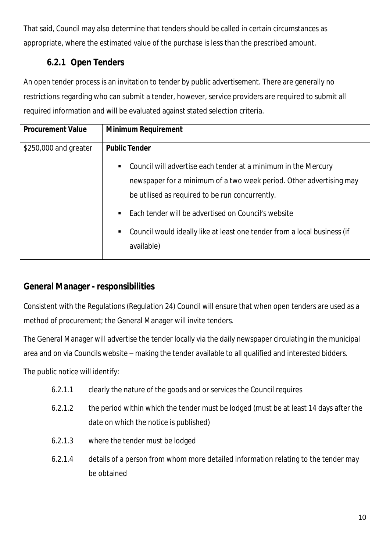That said, Council may also determine that tenders should be called in certain circumstances as appropriate, where the estimated value of the purchase is less than the prescribed amount.

# **6.2.1 Open Tenders**

An open tender process is an invitation to tender by public advertisement. There are generally no restrictions regarding who can submit a tender, however, service providers are required to submit all required information and will be evaluated against stated selection criteria.

| <b>Minimum Requirement</b>                                                                                                                                                                                                                                                                                                                                                                 |  |
|--------------------------------------------------------------------------------------------------------------------------------------------------------------------------------------------------------------------------------------------------------------------------------------------------------------------------------------------------------------------------------------------|--|
| <b>Public Tender</b><br>\$250,000 and greater<br>Council will advertise each tender at a minimum in the Mercury<br>newspaper for a minimum of a two week period. Other advertising may<br>be utilised as required to be run concurrently.<br>Each tender will be advertised on Council's website<br>Council would ideally like at least one tender from a local business (if<br>available) |  |

## **General Manager - responsibilities**

Consistent with the Regulations (Regulation 24) Council will ensure that when open tenders are used as a method of procurement; the General Manager will invite tenders.

The General Manager will advertise the tender locally via the daily newspaper circulating in the municipal area and on via Councils website – making the tender available to all qualified and interested bidders.

The public notice will identify:

- 6.2.1.1 clearly the nature of the goods and or services the Council requires
- 6.2.1.2 the period within which the tender must be lodged (must be at least 14 days after the date on which the notice is published)
- 6.2.1.3 where the tender must be lodged
- 6.2.1.4 details of a person from whom more detailed information relating to the tender may be obtained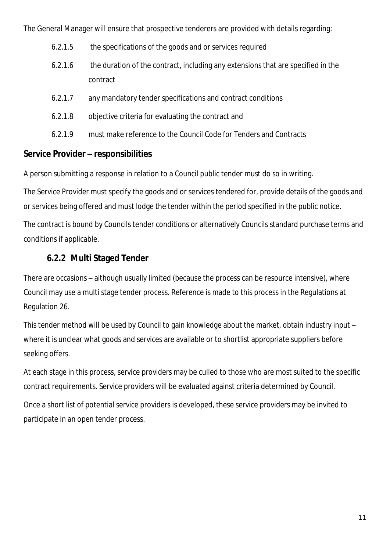The General Manager will ensure that prospective tenderers are provided with details regarding:

- 6.2.1.5 the specifications of the goods and or services required
- 6.2.1.6 the duration of the contract, including any extensions that are specified in the contract
- 6.2.1.7 any mandatory tender specifications and contract conditions
- 6.2.1.8 objective criteria for evaluating the contract and
- 6.2.1.9 must make reference to the Council Code for Tenders and Contracts

#### **Service Provider – responsibilities**

A person submitting a response in relation to a Council public tender must do so in writing.

The Service Provider must specify the goods and or services tendered for, provide details of the goods and or services being offered and must lodge the tender within the period specified in the public notice.

The contract is bound by Councils tender conditions or alternatively Councils standard purchase terms and conditions if applicable.

## **6.2.2 Multi Staged Tender**

There are occasions – although usually limited (because the process can be resource intensive), where Council may use a multi stage tender process. Reference is made to this process in the Regulations at Regulation 26.

This tender method will be used by Council to gain knowledge about the market, obtain industry input – where it is unclear what goods and services are available or to shortlist appropriate suppliers before seeking offers.

At each stage in this process, service providers may be culled to those who are most suited to the specific contract requirements. Service providers will be evaluated against criteria determined by Council.

Once a short list of potential service providers is developed, these service providers may be invited to participate in an open tender process.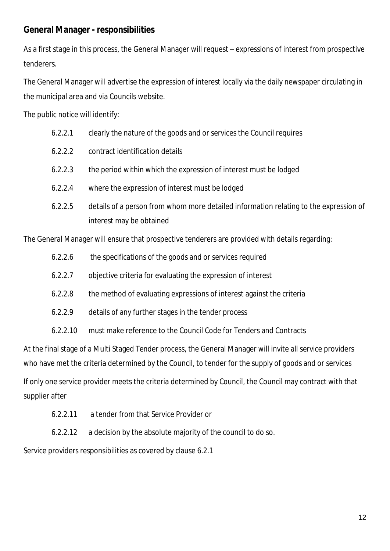### **General Manager - responsibilities**

As a first stage in this process, the General Manager will request – expressions of interest from prospective tenderers.

The General Manager will advertise the expression of interest locally via the daily newspaper circulating in the municipal area and via Councils website.

The public notice will identify:

| 6.2.2.1 | clearly the nature of the goods and or services the Council requires |  |  |  |
|---------|----------------------------------------------------------------------|--|--|--|
|         |                                                                      |  |  |  |
|         |                                                                      |  |  |  |

- 6.2.2.2 contract identification details
- 6.2.2.3 the period within which the expression of interest must be lodged
- 6.2.2.4 where the expression of interest must be lodged
- 6.2.2.5 details of a person from whom more detailed information relating to the expression of interest may be obtained

The General Manager will ensure that prospective tenderers are provided with details regarding:

- 6.2.2.6 the specifications of the goods and or services required
- 6.2.2.7 objective criteria for evaluating the expression of interest
- 6.2.2.8 the method of evaluating expressions of interest against the criteria
- 6.2.2.9 details of any further stages in the tender process
- 6.2.2.10 must make reference to the Council Code for Tenders and Contracts

At the final stage of a Multi Staged Tender process, the General Manager will invite all service providers who have met the criteria determined by the Council, to tender for the supply of goods and or services

If only one service provider meets the criteria determined by Council, the Council may contract with that supplier after

- 6.2.2.11 a tender from that Service Provider or
- 6.2.2.12 a decision by the absolute majority of the council to do so.

Service providers responsibilities as covered by clause 6.2.1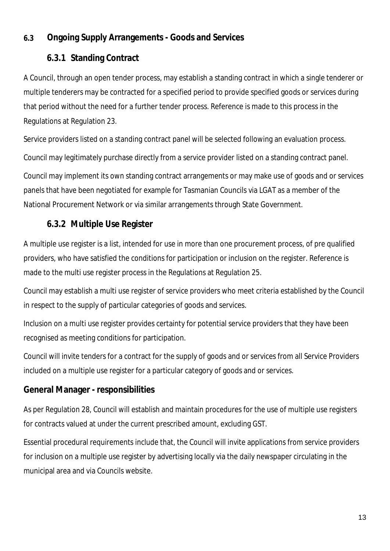## **6.3 Ongoing Supply Arrangements - Goods and Services**

## **6.3.1 Standing Contract**

A Council, through an open tender process, may establish a standing contract in which a single tenderer or multiple tenderers may be contracted for a specified period to provide specified goods or services during that period without the need for a further tender process. Reference is made to this process in the Regulations at Regulation 23.

Service providers listed on a standing contract panel will be selected following an evaluation process. Council may legitimately purchase directly from a service provider listed on a standing contract panel. Council may implement its own standing contract arrangements or may make use of goods and or services panels that have been negotiated for example for Tasmanian Councils via LGAT as a member of the National Procurement Network or via similar arrangements through State Government.

# **6.3.2 Multiple Use Register**

A multiple use register is a list, intended for use in more than one procurement process, of pre qualified providers, who have satisfied the conditions for participation or inclusion on the register. Reference is made to the multi use register process in the Regulations at Regulation 25.

Council may establish a multi use register of service providers who meet criteria established by the Council in respect to the supply of particular categories of goods and services.

Inclusion on a multi use register provides certainty for potential service providers that they have been recognised as meeting conditions for participation.

Council will invite tenders for a contract for the supply of goods and or services from all Service Providers included on a multiple use register for a particular category of goods and or services.

## **General Manager - responsibilities**

As per Regulation 28, Council will establish and maintain procedures for the use of multiple use registers for contracts valued at under the current prescribed amount, excluding GST.

Essential procedural requirements include that, the Council will invite applications from service providers for inclusion on a multiple use register by advertising locally via the daily newspaper circulating in the municipal area and via Councils website.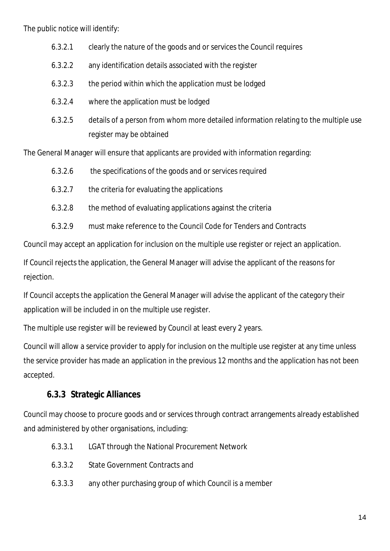The public notice will identify:

- 6.3.2.1 clearly the nature of the goods and or services the Council requires
- 6.3.2.2 any identification details associated with the register
- 6.3.2.3 the period within which the application must be lodged
- 6.3.2.4 where the application must be lodged
- 6.3.2.5 details of a person from whom more detailed information relating to the multiple use register may be obtained

The General Manager will ensure that applicants are provided with information regarding:

- 6.3.2.6 the specifications of the goods and or services required
- 6.3.2.7 the criteria for evaluating the applications
- 6.3.2.8 the method of evaluating applications against the criteria
- 6.3.2.9 must make reference to the Council Code for Tenders and Contracts

Council may accept an application for inclusion on the multiple use register or reject an application.

If Council rejects the application, the General Manager will advise the applicant of the reasons for rejection.

If Council accepts the application the General Manager will advise the applicant of the category their application will be included in on the multiple use register.

The multiple use register will be reviewed by Council at least every 2 years.

Council will allow a service provider to apply for inclusion on the multiple use register at any time unless the service provider has made an application in the previous 12 months and the application has not been accepted.

#### **6.3.3 Strategic Alliances**

Council may choose to procure goods and or services through contract arrangements already established and administered by other organisations, including:

- 6.3.3.1 LGAT through the National Procurement Network
- 6.3.3.2 State Government Contracts and
- 6.3.3.3 any other purchasing group of which Council is a member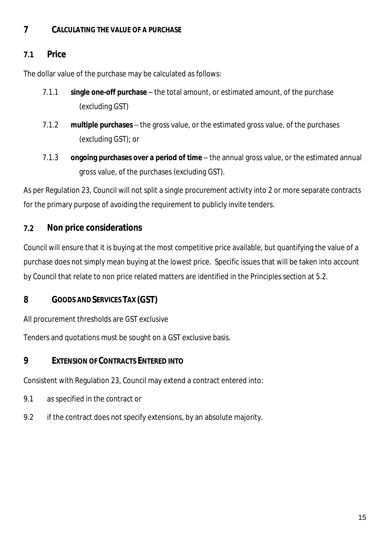#### **7 CALCULATING THE VALUE OF A PURCHASE**

#### **7.1 Price**

The dollar value of the purchase may be calculated as follows:

- 7.1.1 **single one-off purchase** the total amount, or estimated amount, of the purchase (excluding GST)
- 7.1.2 **multiple purchases** the gross value, or the estimated gross value, of the purchases (excluding GST); or
- 7.1.3 **ongoing purchases over a period of time** the annual gross value, or the estimated annual gross value, of the purchases (excluding GST).

As per Regulation 23, Council will not split a single procurement activity into 2 or more separate contracts for the primary purpose of avoiding the requirement to publicly invite tenders.

#### **7.2 Non price considerations**

Council will ensure that it is buying at the most competitive price available, but quantifying the value of a purchase does not simply mean buying at the lowest price. Specific issues that will be taken into account by Council that relate to non price related matters are identified in the Principles section at 5.2.

#### **8 GOODS AND SERVICES TAX (GST)**

All procurement thresholds are GST exclusive

Tenders and quotations must be sought on a GST exclusive basis.

#### **9 EXTENSION OF CONTRACTS ENTERED INTO**

Consistent with Regulation 23, Council may extend a contract entered into:

- 9.1 as specified in the contract or
- 9.2 if the contract does not specify extensions, by an absolute majority.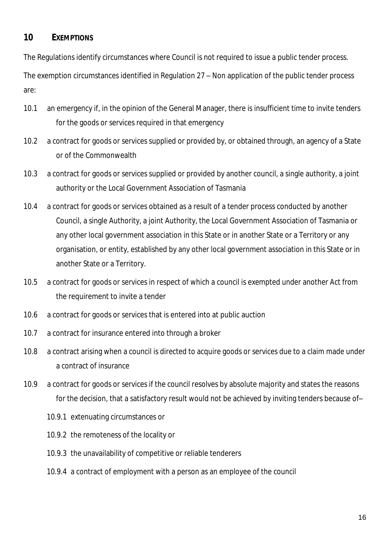#### **10 EXEMPTIONS**

The Regulations identify circumstances where Council is not required to issue a public tender process.

The exemption circumstances identified in Regulation 27 – Non application of the public tender process are:

- 10.1 an emergency if, in the opinion of the General Manager, there is insufficient time to invite tenders for the goods or services required in that emergency
- 10.2 a contract for goods or services supplied or provided by, or obtained through, an agency of a State or of the Commonwealth
- 10.3 a contract for goods or services supplied or provided by another council, a single authority, a joint authority or the Local Government Association of Tasmania
- 10.4 a contract for goods or services obtained as a result of a tender process conducted by another Council, a single Authority, a joint Authority, the Local Government Association of Tasmania or any other local government association in this State or in another State or a Territory or any organisation, or entity, established by any other local government association in this State or in another State or a Territory.
- 10.5 a contract for goods or services in respect of which a council is exempted under another Act from the requirement to invite a tender
- 10.6 a contract for goods or services that is entered into at public auction
- 10.7 a contract for insurance entered into through a broker
- 10.8 a contract arising when a council is directed to acquire goods or services due to a claim made under a contract of insurance
- 10.9 a contract for goods or services if the council resolves by absolute majority and states the reasons for the decision, that a satisfactory result would not be achieved by inviting tenders because of–
	- 10.9.1 extenuating circumstances or
	- 10.9.2 the remoteness of the locality or
	- 10.9.3 the unavailability of competitive or reliable tenderers
	- 10.9.4 a contract of employment with a person as an employee of the council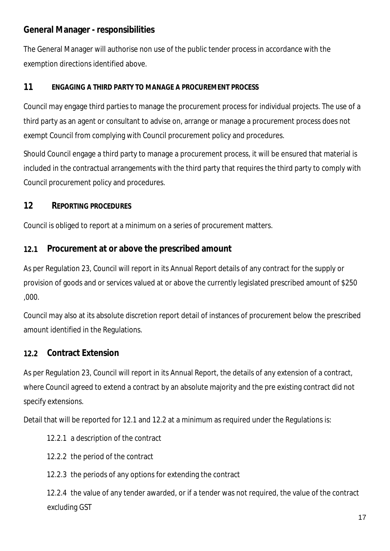## **General Manager - responsibilities**

The General Manager will authorise non use of the public tender process in accordance with the exemption directions identified above.

#### **11 ENGAGING A THIRD PARTY TO MANAGE A PROCUREMENT PROCESS**

Council may engage third parties to manage the procurement process for individual projects. The use of a third party as an agent or consultant to advise on, arrange or manage a procurement process does not exempt Council from complying with Council procurement policy and procedures.

Should Council engage a third party to manage a procurement process, it will be ensured that material is included in the contractual arrangements with the third party that requires the third party to comply with Council procurement policy and procedures.

#### **12 REPORTING PROCEDURES**

Council is obliged to report at a minimum on a series of procurement matters.

#### **12.1 Procurement at or above the prescribed amount**

As per Regulation 23, Council will report in its Annual Report details of any contract for the supply or provision of goods and or services valued at or above the currently legislated prescribed amount of \$250 ,000.

Council may also at its absolute discretion report detail of instances of procurement below the prescribed amount identified in the Regulations.

#### **12.2 Contract Extension**

As per Regulation 23, Council will report in its Annual Report, the details of any extension of a contract, where Council agreed to extend a contract by an absolute majority and the pre existing contract did not specify extensions.

Detail that will be reported for 12.1 and 12.2 at a minimum as required under the Regulations is:

- 12.2.1 a description of the contract
- 12.2.2 the period of the contract
- 12.2.3 the periods of any options for extending the contract

12.2.4 the value of any tender awarded, or if a tender was not required, the value of the contract excluding GST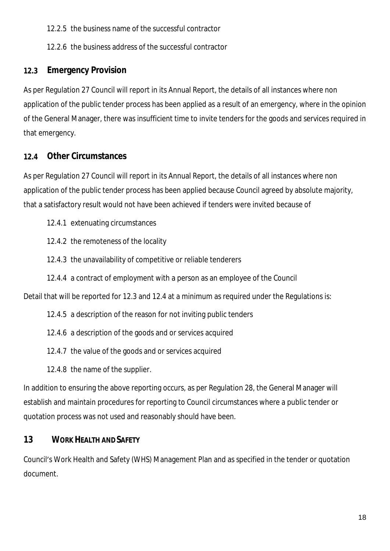12.2.5 the business name of the successful contractor

12.2.6 the business address of the successful contractor

# **12.3 Emergency Provision**

As per Regulation 27 Council will report in its Annual Report, the details of all instances where non application of the public tender process has been applied as a result of an emergency, where in the opinion of the General Manager, there was insufficient time to invite tenders for the goods and services required in that emergency.

# **12.4 Other Circumstances**

As per Regulation 27 Council will report in its Annual Report, the details of all instances where non application of the public tender process has been applied because Council agreed by absolute majority, that a satisfactory result would not have been achieved if tenders were invited because of

- 12.4.1 extenuating circumstances
- 12.4.2 the remoteness of the locality
- 12.4.3 the unavailability of competitive or reliable tenderers
- 12.4.4 a contract of employment with a person as an employee of the Council

Detail that will be reported for 12.3 and 12.4 at a minimum as required under the Regulations is:

- 12.4.5 a description of the reason for not inviting public tenders
- 12.4.6 a description of the goods and or services acquired
- 12.4.7 the value of the goods and or services acquired
- 12.4.8 the name of the supplier.

In addition to ensuring the above reporting occurs, as per Regulation 28, the General Manager will establish and maintain procedures for reporting to Council circumstances where a public tender or quotation process was not used and reasonably should have been.

# **13 WORK HEALTH AND SAFETY**

Council's Work Health and Safety (WHS) Management Plan and as specified in the tender or quotation document.